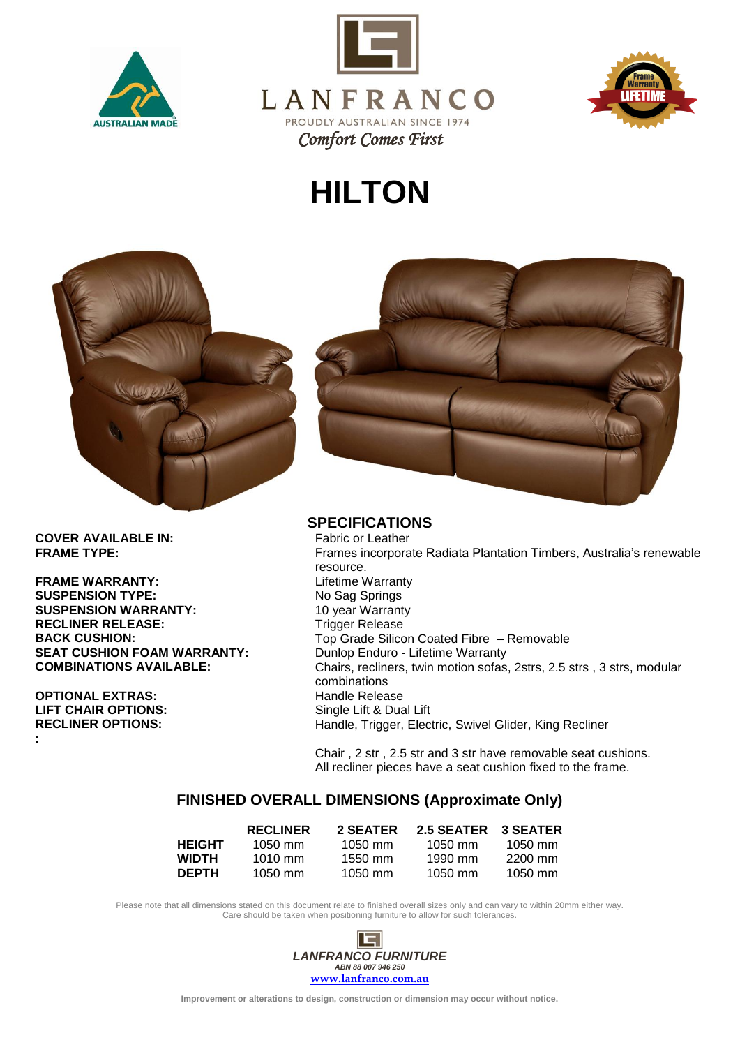





## **HILTON**



**COVER AVAILABLE IN:**<br>FRAME TYPE:

**FRAME WARRANTY: SUSPENSION TYPE:**<br> **SUSPENSION WARRANTY:**<br>
10 year Warranty **SUSPENSION WARRANTY: RECLINER RELEASE:** Trigger Release **SEAT CUSHION FOAM WARRANTY:** Dunlop Enduro - Lifetime Warranty

**OPTIONAL EXTRAS:**<br> **LIFT CHAIR OPTIONS:** And a Single Lift & Dua **LIFT CHAIR OPTIONS:**<br> **RECLINER OPTIONS:** Single Lift & Dual Lift RECLINER OPTIONS: **:**



## **SPECIFICATIONS**<br>Fabric or Leather

Frames incorporate Radiata Plantation Timbers, Australia's renewable resource.<br>Lifetime Warranty **BACK CUSHION:** Top Grade Silicon Coated Fibre – Removable **COMBINATIONS AVAILABLE:** Chairs, recliners, twin motion sofas, 2strs, 2.5 strs , 3 strs, modular combinations Handle, Trigger, Electric, Swivel Glider, King Recliner

> Chair , 2 str , 2.5 str and 3 str have removable seat cushions. All recliner pieces have a seat cushion fixed to the frame.

## **FINISHED OVERALL DIMENSIONS (Approximate Only)**

|               | <b>RECLINER</b>   | 2 SEATER  | 2.5 SEATER | <b>3 SEATER</b> |
|---------------|-------------------|-----------|------------|-----------------|
| <b>HEIGHT</b> | $1050 \text{ mm}$ | $1050$ mm | 1050 mm    | $1050$ mm       |
| <b>WIDTH</b>  | $1010 \text{ mm}$ | $1550$ mm | 1990 mm    | 2200 mm         |
| <b>DEPTH</b>  | $1050 \text{ mm}$ | $1050$ mm | 1050 mm    | 1050 mm         |

Please note that all dimensions stated on this document relate to finished overall sizes only and can vary to within 20mm either way. Care should be taken when positioning furniture to allow for such tolerances.



**Improvement or alterations to design, construction or dimension may occur without notice.**